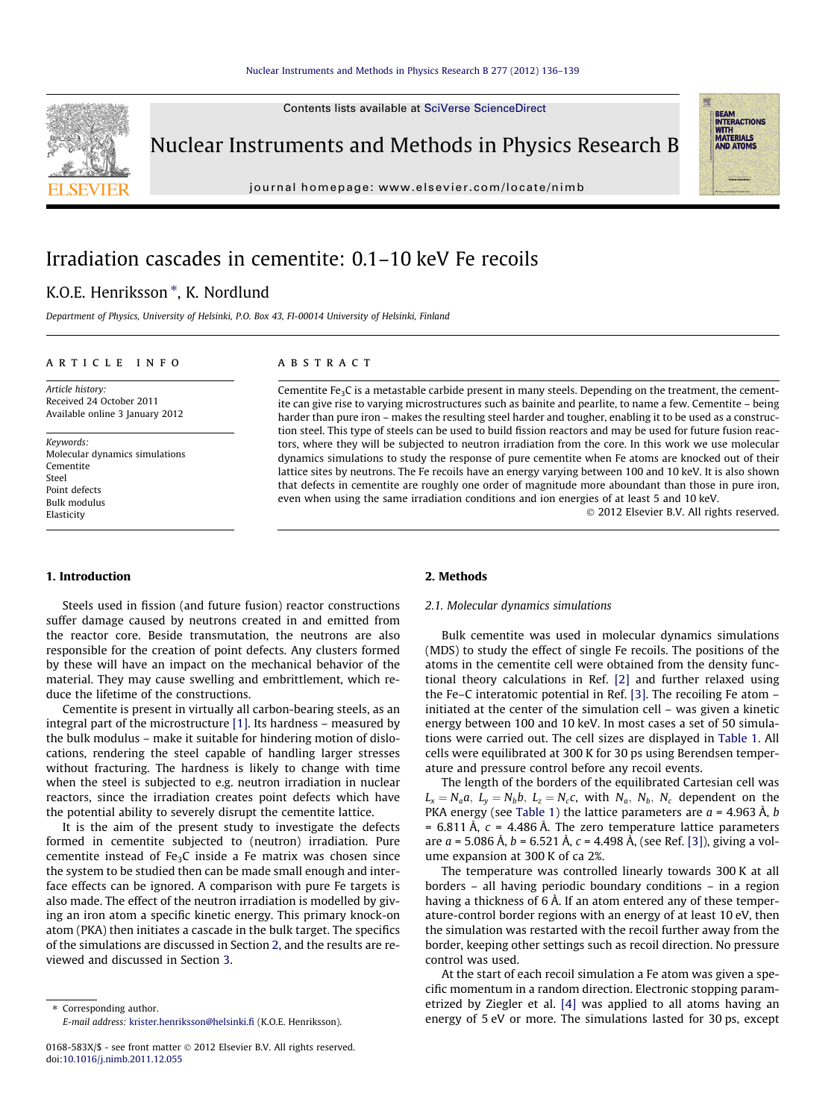Contents lists available at [SciVerse ScienceDirect](http://www.sciencedirect.com/science/journal/0168583X)



Nuclear Instruments and Methods in Physics Research B

journal homepage: [www.elsevier.com/locate/nimb](http://www.elsevier.com/locate/nimb)

# Irradiation cascades in cementite: 0.1–10 keV Fe recoils

## K.O.E. Henriksson \*, K. Nordlund

Department of Physics, University of Helsinki, P.O. Box 43, FI-00014 University of Helsinki, Finland

#### article info

Article history: Received 24 October 2011 Available online 3 January 2012

Keywords: Molecular dynamics simulations Cementite Steel Point defects Bulk modulus Elasticity

## **ABSTRACT**

Cementite  $Fe<sub>3</sub>C$  is a metastable carbide present in many steels. Depending on the treatment, the cementite can give rise to varying microstructures such as bainite and pearlite, to name a few. Cementite – being harder than pure iron – makes the resulting steel harder and tougher, enabling it to be used as a construction steel. This type of steels can be used to build fission reactors and may be used for future fusion reactors, where they will be subjected to neutron irradiation from the core. In this work we use molecular dynamics simulations to study the response of pure cementite when Fe atoms are knocked out of their lattice sites by neutrons. The Fe recoils have an energy varying between 100 and 10 keV. It is also shown that defects in cementite are roughly one order of magnitude more aboundant than those in pure iron, even when using the same irradiation conditions and ion energies of at least 5 and 10 keV.

- 2012 Elsevier B.V. All rights reserved.

**BEAM<br>INTERACTIONS<br>WITH<br>MATERIALS<br>AND ATOMS** 

#### 1. Introduction

Steels used in fission (and future fusion) reactor constructions suffer damage caused by neutrons created in and emitted from the reactor core. Beside transmutation, the neutrons are also responsible for the creation of point defects. Any clusters formed by these will have an impact on the mechanical behavior of the material. They may cause swelling and embrittlement, which reduce the lifetime of the constructions.

Cementite is present in virtually all carbon-bearing steels, as an integral part of the microstructure [\[1\].](#page-3-0) Its hardness – measured by the bulk modulus – make it suitable for hindering motion of dislocations, rendering the steel capable of handling larger stresses without fracturing. The hardness is likely to change with time when the steel is subjected to e.g. neutron irradiation in nuclear reactors, since the irradiation creates point defects which have the potential ability to severely disrupt the cementite lattice.

It is the aim of the present study to investigate the defects formed in cementite subjected to (neutron) irradiation. Pure cementite instead of  $Fe<sub>3</sub>C$  inside a Fe matrix was chosen since the system to be studied then can be made small enough and interface effects can be ignored. A comparison with pure Fe targets is also made. The effect of the neutron irradiation is modelled by giving an iron atom a specific kinetic energy. This primary knock-on atom (PKA) then initiates a cascade in the bulk target. The specifics of the simulations are discussed in Section 2, and the results are reviewed and discussed in Section [3](#page-1-0).

\* Corresponding author. E-mail address: [krister.henriksson@helsinki.fi](mailto:krister.henriksson@helsinki.fi) (K.O.E. Henriksson).

## 2. Methods

### 2.1. Molecular dynamics simulations

Bulk cementite was used in molecular dynamics simulations (MDS) to study the effect of single Fe recoils. The positions of the atoms in the cementite cell were obtained from the density functional theory calculations in Ref. [\[2\]](#page-3-0) and further relaxed using the Fe–C interatomic potential in Ref. [\[3\]](#page-3-0). The recoiling Fe atom – initiated at the center of the simulation cell – was given a kinetic energy between 100 and 10 keV. In most cases a set of 50 simulations were carried out. The cell sizes are displayed in [Table 1.](#page-1-0) All cells were equilibrated at 300 K for 30 ps using Berendsen temperature and pressure control before any recoil events.

The length of the borders of the equilibrated Cartesian cell was  $L_x = N_a a$ ,  $L_y = N_b b$ ,  $L_z = N_c c$ , with  $N_a$ ,  $N_b$ ,  $N_c$  dependent on the PKA energy (see [Table 1\)](#page-1-0) the lattice parameters are  $a = 4.963 \text{ Å}$ , b = 6.811 Å,  $c = 4.486$  Å. The zero temperature lattice parameters are  $a = 5.086$  Å,  $b = 6.521$  Å,  $c = 4.498$  Å, (see Ref. [\[3\]\)](#page-3-0), giving a volume expansion at 300 K of ca 2%.

The temperature was controlled linearly towards 300 K at all borders – all having periodic boundary conditions – in a region having a thickness of 6 Å. If an atom entered any of these temperature-control border regions with an energy of at least 10 eV, then the simulation was restarted with the recoil further away from the border, keeping other settings such as recoil direction. No pressure control was used.

At the start of each recoil simulation a Fe atom was given a specific momentum in a random direction. Electronic stopping parametrized by Ziegler et al. [\[4\]](#page-3-0) was applied to all atoms having an energy of 5 eV or more. The simulations lasted for 30 ps, except

<sup>0168-583</sup>X/\$ - see front matter © 2012 Elsevier B.V. All rights reserved. doi:[10.1016/j.nimb.2011.12.055](http://dx.doi.org/10.1016/j.nimb.2011.12.055)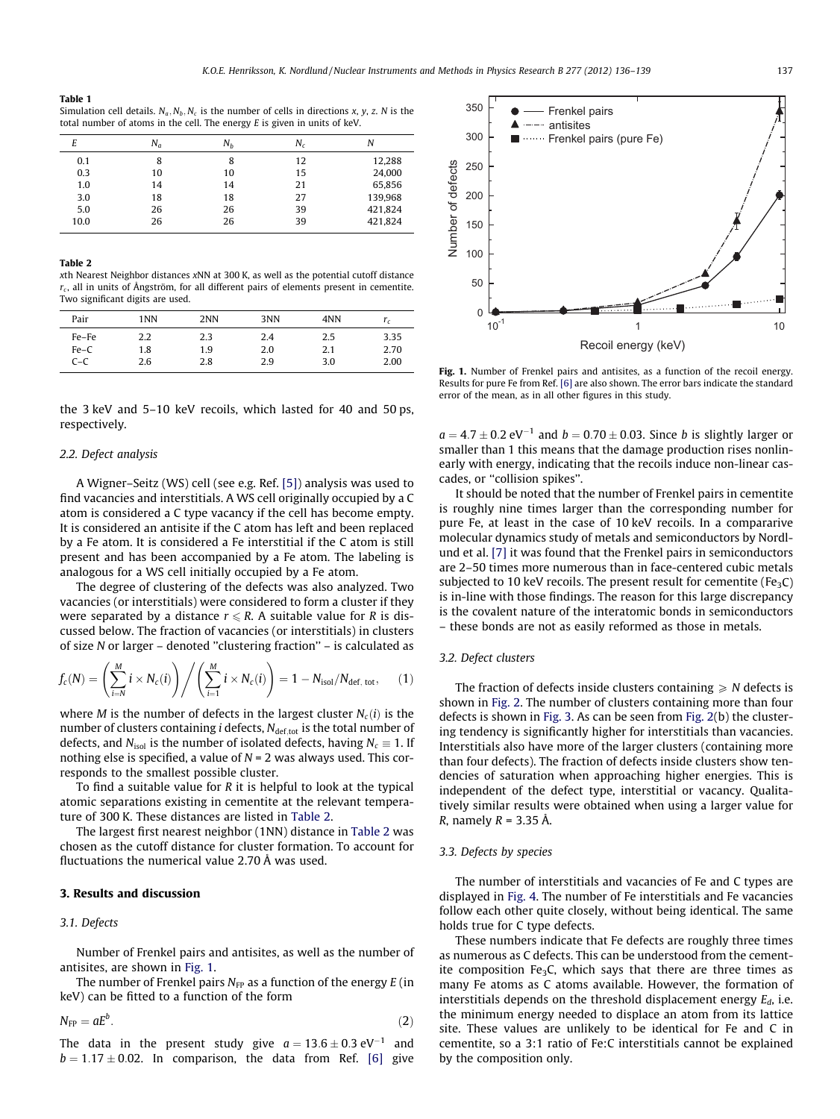#### <span id="page-1-0"></span>Table 1

Simulation cell details.  $N_a$ ,  $N_b$ ,  $N_c$  is the number of cells in directions x, y, z. N is the total number of atoms in the cell. The energy E is given in units of keV.

| E    | $N_a$ | $N_h$ | N. | N       |
|------|-------|-------|----|---------|
| 0.1  | 8     | 8     | 12 | 12,288  |
| 0.3  | 10    | 10    | 15 | 24,000  |
| 1.0  | 14    | 14    | 21 | 65,856  |
| 3.0  | 18    | 18    | 27 | 139,968 |
| 5.0  | 26    | 26    | 39 | 421,824 |
| 10.0 | 26    | 26    | 39 | 421,824 |

#### Table 2

xth Nearest Neighbor distances xNN at 300 K, as well as the potential cutoff distance  $r_c$ , all in units of Ångström, for all different pairs of elements present in cementite. Two significant digits are used.

| Pair   | 1NN | 2NN | 3NN | 4NN | r.   |
|--------|-----|-----|-----|-----|------|
| Fe-Fe  | 2.2 | 2.3 | 2.4 | 2.5 | 3.35 |
| $Fe-C$ | 1.8 | 1.9 | 2.0 | 2.1 | 2.70 |
| $C-C$  | 2.6 | 2.8 | 2.9 | 3.0 | 2.00 |

the 3 keV and 5–10 keV recoils, which lasted for 40 and 50 ps, respectively.

#### 2.2. Defect analysis

A Wigner–Seitz (WS) cell (see e.g. Ref. [\[5\]\)](#page-3-0) analysis was used to find vacancies and interstitials. A WS cell originally occupied by a C atom is considered a C type vacancy if the cell has become empty. It is considered an antisite if the C atom has left and been replaced by a Fe atom. It is considered a Fe interstitial if the C atom is still present and has been accompanied by a Fe atom. The labeling is analogous for a WS cell initially occupied by a Fe atom.

The degree of clustering of the defects was also analyzed. Two vacancies (or interstitials) were considered to form a cluster if they were separated by a distance  $r \le R$ . A suitable value for R is discussed below. The fraction of vacancies (or interstitials) in clusters of size N or larger – denoted ''clustering fraction'' – is calculated as

$$
f_c(N) = \left(\sum_{i=N}^{M} i \times N_c(i)\right) \bigg/ \left(\sum_{i=1}^{M} i \times N_c(i)\right) = 1 - N_{\text{isol}}/N_{\text{def, tot}},\qquad(1)
$$

where *M* is the number of defects in the largest cluster  $N_c(i)$  is the number of clusters containing *i* defects,  $N_{\text{def,tot}}$  is the total number of defects, and  $N_{\text{isol}}$  is the number of isolated defects, having  $N_c \equiv 1$ . If nothing else is specified, a value of  $N = 2$  was always used. This corresponds to the smallest possible cluster.

To find a suitable value for  *it is helpful to look at the typical* atomic separations existing in cementite at the relevant temperature of 300 K. These distances are listed in Table 2.

The largest first nearest neighbor (1NN) distance in Table 2 was chosen as the cutoff distance for cluster formation. To account for fluctuations the numerical value 2.70 Å was used.

#### 3. Results and discussion

#### 3.1. Defects

Number of Frenkel pairs and antisites, as well as the number of antisites, are shown in Fig. 1.

The number of Frenkel pairs  $N_{FP}$  as a function of the energy  $E$  (in keV) can be fitted to a function of the form

 $N_{\text{FP}} = aE^b$ .  $\hspace{2.6cm} (2)$ 

The data in the present study give  $a = 13.6 \pm 0.3 \text{ eV}^{-1}$  and  $b = 1.17 \pm 0.02$ . In comparison, the data from Ref. [\[6\]](#page-3-0) give



Fig. 1. Number of Frenkel pairs and antisites, as a function of the recoil energy. Results for pure Fe from Ref. [\[6\]](#page-3-0) are also shown. The error bars indicate the standard error of the mean, as in all other figures in this study.

 $a = 4.7 \pm 0.2$  eV<sup>-1</sup> and  $b = 0.70 \pm 0.03$ . Since b is slightly larger or smaller than 1 this means that the damage production rises nonlinearly with energy, indicating that the recoils induce non-linear cascades, or ''collision spikes''.

It should be noted that the number of Frenkel pairs in cementite is roughly nine times larger than the corresponding number for pure Fe, at least in the case of 10 keV recoils. In a compararive molecular dynamics study of metals and semiconductors by Nordlund et al. [\[7\]](#page-3-0) it was found that the Frenkel pairs in semiconductors are 2–50 times more numerous than in face-centered cubic metals subjected to 10 keV recoils. The present result for cementite (Fe<sub>3</sub>C) is in-line with those findings. The reason for this large discrepancy is the covalent nature of the interatomic bonds in semiconductors – these bonds are not as easily reformed as those in metals.

#### 3.2. Defect clusters

The fraction of defects inside clusters containing  $\geq N$  defects is shown in [Fig. 2.](#page-2-0) The number of clusters containing more than four defects is shown in [Fig. 3](#page-2-0). As can be seen from [Fig. 2](#page-2-0)(b) the clustering tendency is significantly higher for interstitials than vacancies. Interstitials also have more of the larger clusters (containing more than four defects). The fraction of defects inside clusters show tendencies of saturation when approaching higher energies. This is independent of the defect type, interstitial or vacancy. Qualitatively similar results were obtained when using a larger value for *R*, namely  $R = 3.35$  Å.

## 3.3. Defects by species

The number of interstitials and vacancies of Fe and C types are displayed in [Fig. 4](#page-2-0). The number of Fe interstitials and Fe vacancies follow each other quite closely, without being identical. The same holds true for C type defects.

These numbers indicate that Fe defects are roughly three times as numerous as C defects. This can be understood from the cementite composition Fe<sub>3</sub>C, which says that there are three times as many Fe atoms as C atoms available. However, the formation of interstitials depends on the threshold displacement energy  $E_d$ , i.e. the minimum energy needed to displace an atom from its lattice site. These values are unlikely to be identical for Fe and C in cementite, so a 3:1 ratio of Fe:C interstitials cannot be explained by the composition only.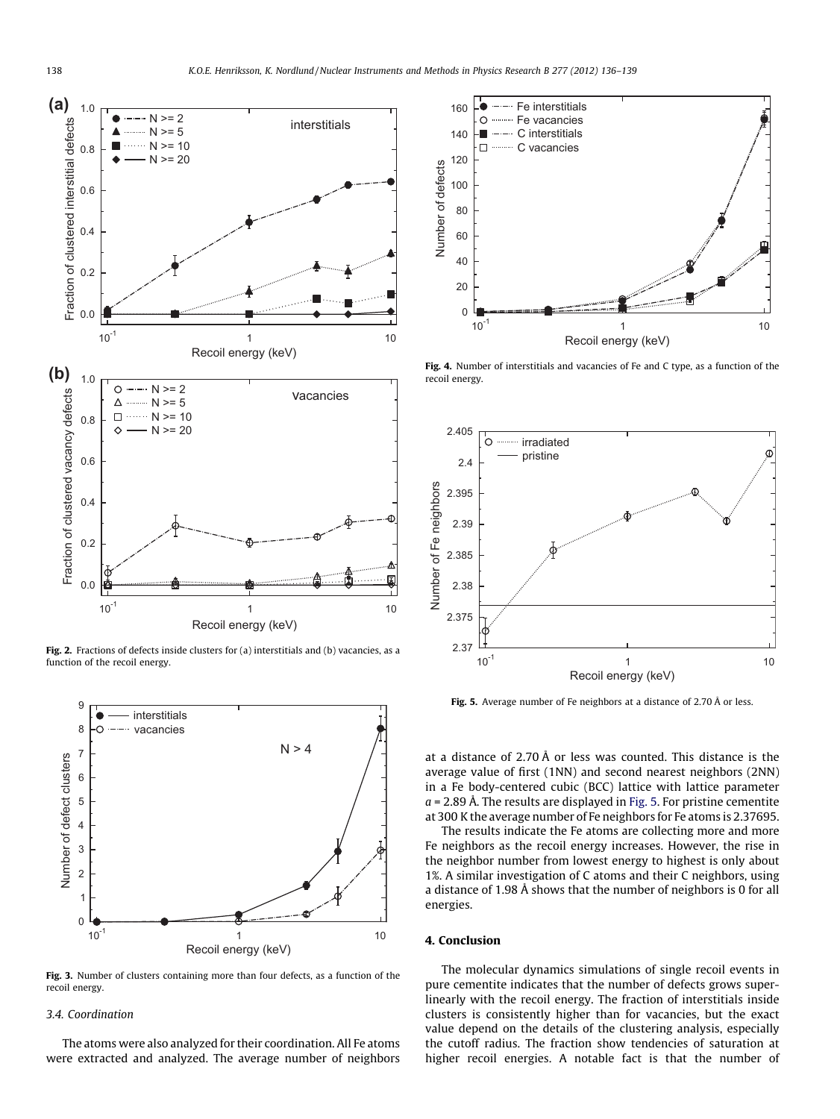<span id="page-2-0"></span>

Fig. 2. Fractions of defects inside clusters for (a) interstitials and (b) vacancies, as a function of the recoil energy.



Fig. 3. Number of clusters containing more than four defects, as a function of the recoil energy.

## 3.4. Coordination

The atoms were also analyzed for their coordination. All Fe atoms were extracted and analyzed. The average number of neighbors



Fig. 4. Number of interstitials and vacancies of Fe and C type, as a function of the recoil energy.



Fig. 5. Average number of Fe neighbors at a distance of 2.70 Å or less.

at a distance of 2.70 Å or less was counted. This distance is the average value of first (1NN) and second nearest neighbors (2NN) in a Fe body-centered cubic (BCC) lattice with lattice parameter  $a = 2.89$  Å. The results are displayed in Fig. 5. For pristine cementite at 300 K the average number of Fe neighbors for Fe atoms is 2.37695.

The results indicate the Fe atoms are collecting more and more Fe neighbors as the recoil energy increases. However, the rise in the neighbor number from lowest energy to highest is only about 1%. A similar investigation of C atoms and their C neighbors, using a distance of 1.98 Å shows that the number of neighbors is 0 for all energies.

## 4. Conclusion

The molecular dynamics simulations of single recoil events in pure cementite indicates that the number of defects grows superlinearly with the recoil energy. The fraction of interstitials inside clusters is consistently higher than for vacancies, but the exact value depend on the details of the clustering analysis, especially the cutoff radius. The fraction show tendencies of saturation at higher recoil energies. A notable fact is that the number of